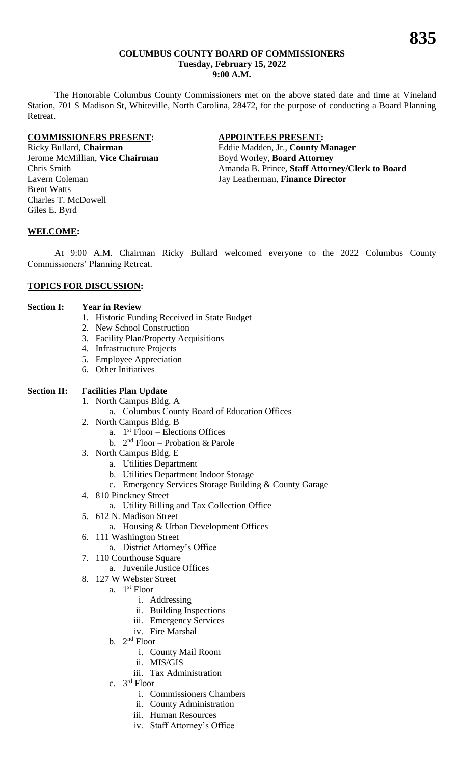#### **COLUMBUS COUNTY BOARD OF COMMISSIONERS Tuesday, February 15, 2022 9:00 A.M.**

The Honorable Columbus County Commissioners met on the above stated date and time at Vineland Station, 701 S Madison St, Whiteville, North Carolina, 28472, for the purpose of conducting a Board Planning Retreat.

#### **COMMISSIONERS PRESENT: APPOINTEES PRESENT:**

Jerome McMillian, **Vice Chairman** Boyd Worley, **Board Attorney** Lavern Coleman Jay Leatherman, **Finance Director** Brent Watts Charles T. McDowell Giles E. Byrd

Ricky Bullard, **Chairman** Eddie Madden, Jr., **County Manager** Chris Smith Amanda B. Prince, **Staff Attorney/Clerk to Board**

### **WELCOME:**

At 9:00 A.M. Chairman Ricky Bullard welcomed everyone to the 2022 Columbus County Commissioners' Planning Retreat.

## **TOPICS FOR DISCUSSION:**

#### **Section I: Year in Review**

- 1. Historic Funding Received in State Budget
- 2. New School Construction
- 3. Facility Plan/Property Acquisitions
- 4. Infrastructure Projects
- 5. Employee Appreciation
- 6. Other Initiatives

#### **Section II: Facilities Plan Update**

- 1. North Campus Bldg. A
	- a. Columbus County Board of Education Offices
- 2. North Campus Bldg. B
	- a. 1 st Floor Elections Offices
	- b.  $2<sup>nd</sup> Floor Probability  $\&$  Parole$
- 3. North Campus Bldg. E
	- a. Utilities Department
	- b. Utilities Department Indoor Storage
	- c. Emergency Services Storage Building & County Garage
- 4. 810 Pinckney Street
	- a. Utility Billing and Tax Collection Office
- 5. 612 N. Madison Street
	- a. Housing & Urban Development Offices
- 6. 111 Washington Street
	- a. District Attorney's Office
- 7. 110 Courthouse Square
	- a. Juvenile Justice Offices
- 8. 127 W Webster Street
	- a. 1<sup>st</sup> Floor
		- i. Addressing
		- ii. Building Inspections
		- iii. Emergency Services
		- iv. Fire Marshal
	- b.  $2<sup>nd</sup>$  Floor
		- i. County Mail Room
		- ii. MIS/GIS
		- iii. Tax Administration
	- c. 3<sup>rd</sup> Floor
		- i. Commissioners Chambers
		- ii. County Administration
		- iii. Human Resources
		- iv. Staff Attorney's Office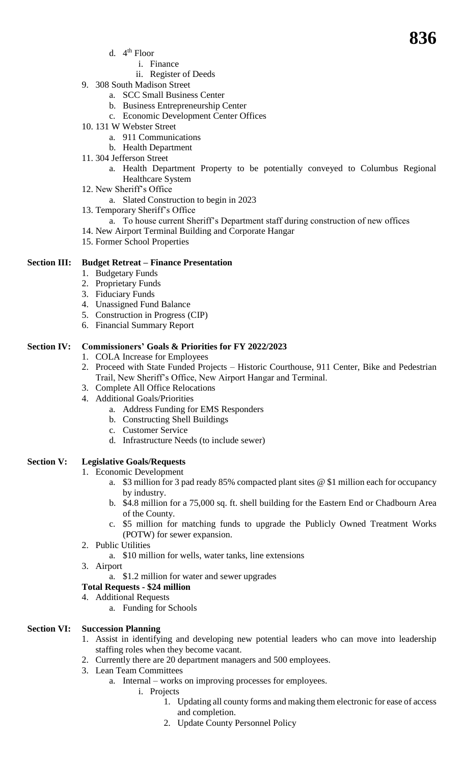- d. 4<sup>th</sup> Floor
	- i. Finance
	- ii. Register of Deeds
- 9. 308 South Madison Street
	- a. SCC Small Business Center
	- b. Business Entrepreneurship Center
	- c. Economic Development Center Offices
- 10. 131 W Webster Street
	- a. 911 Communications
	- b. Health Department
- 11. 304 Jefferson Street
	- a. Health Department Property to be potentially conveyed to Columbus Regional Healthcare System
- 12. New Sheriff's Office
	- a. Slated Construction to begin in 2023
- 13. Temporary Sheriff's Office
- a. To house current Sheriff's Department staff during construction of new offices
- 14. New Airport Terminal Building and Corporate Hangar
- 15. Former School Properties

### **Section III: Budget Retreat – Finance Presentation**

- 1. Budgetary Funds
- 2. Proprietary Funds
- 3. Fiduciary Funds
- 4. Unassigned Fund Balance
- 5. Construction in Progress (CIP)
- 6. Financial Summary Report

### **Section IV: Commissioners' Goals & Priorities for FY 2022/2023**

- 1. COLA Increase for Employees
- 2. Proceed with State Funded Projects Historic Courthouse, 911 Center, Bike and Pedestrian Trail, New Sheriff's Office, New Airport Hangar and Terminal.
- 3. Complete All Office Relocations
- 4. Additional Goals/Priorities
	- a. Address Funding for EMS Responders
	- b. Constructing Shell Buildings
	- c. Customer Service
	- d. Infrastructure Needs (to include sewer)

## **Section V: Legislative Goals/Requests**

- 1. Economic Development
	- a. \$3 million for 3 pad ready 85% compacted plant sites @ \$1 million each for occupancy by industry.
	- b. \$4.8 million for a 75,000 sq. ft. shell building for the Eastern End or Chadbourn Area of the County.
	- c. \$5 million for matching funds to upgrade the Publicly Owned Treatment Works (POTW) for sewer expansion.
- 2. Public Utilities
	- a. \$10 million for wells, water tanks, line extensions
- 3. Airport
	- a. \$1.2 million for water and sewer upgrades
- **Total Requests - \$24 million**
- 4. Additional Requests
	- a. Funding for Schools

## **Section VI: Succession Planning**

- 1. Assist in identifying and developing new potential leaders who can move into leadership staffing roles when they become vacant.
- 2. Currently there are 20 department managers and 500 employees.
- 3. Lean Team Committees
	- a. Internal works on improving processes for employees.
		- i. Projects
			- 1. Updating all county forms and making them electronic for ease of access and completion.
			- 2. Update County Personnel Policy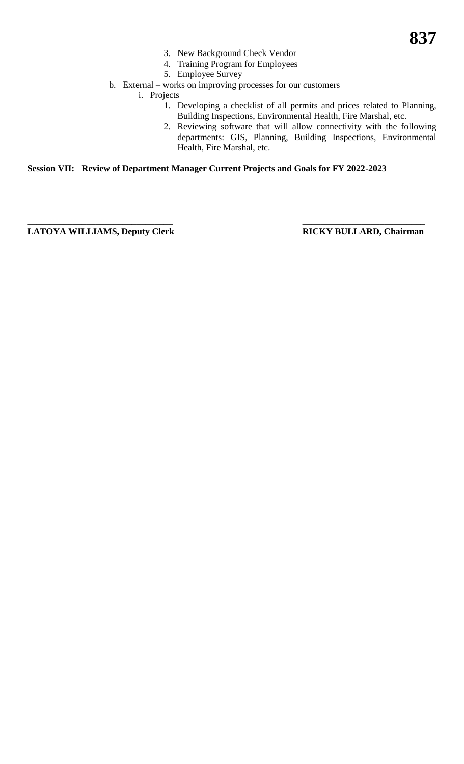- 3. New Background Check Vendor
- 4. Training Program for Employees
- 5. Employee Survey
- b. External works on improving processes for our customers

i. Projects

- 1. Developing a checklist of all permits and prices related to Planning, Building Inspections, Environmental Health, Fire Marshal, etc.
- 2. Reviewing software that will allow connectivity with the following departments: GIS, Planning, Building Inspections, Environmental Health, Fire Marshal, etc.

**Session VII: Review of Department Manager Current Projects and Goals for FY 2022-2023**

**\_\_\_\_\_\_\_\_\_\_\_\_\_\_\_\_\_\_\_\_\_\_\_\_\_\_\_\_\_\_\_\_ \_\_\_\_\_\_\_\_\_\_\_\_\_\_\_\_\_\_\_\_\_\_\_\_\_\_\_** LATOYA WILLIAMS, Deputy Clerk RICKY BULLARD, Chairman